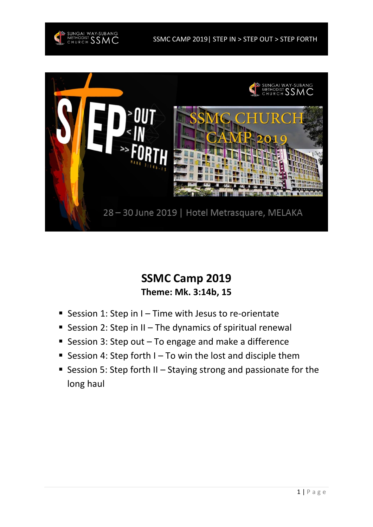

SSMC CAMP 2019| STEP IN > STEP OUT > STEP FORTH



# **SSMC Camp 2019 Theme: Mk. 3:14b, 15**

- Session 1: Step in I Time with Jesus to re-orientate
- Session 2: Step in II The dynamics of spiritual renewal
- Session 3: Step out  $-$  To engage and make a difference
- **E** Session 4: Step forth  $I To$  win the lost and disciple them
- Session 5: Step forth II Staying strong and passionate for the long haul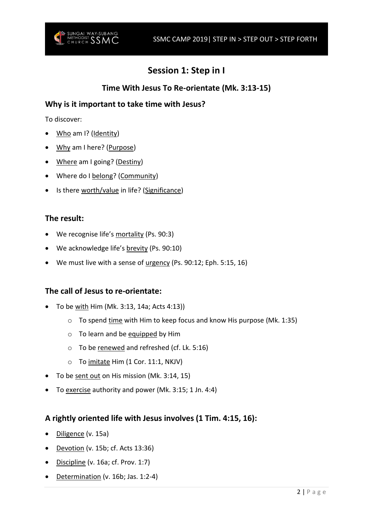

# **Session 1: Step in I**

## **Time With Jesus To Re-orientate (Mk. 3:13-15)**

### **Why is it important to take time with Jesus?**

To discover:

- Who am I? (Identity)
- Why am I here? (Purpose)
- Where am I going? (Destiny)
- Where do I belong? (Community)
- Is there worth/value in life? (Significance)

#### **The result:**

- We recognise life's mortality (Ps. 90:3)
- We acknowledge life's brevity (Ps. 90:10)
- We must live with a sense of urgency (Ps. 90:12; Eph. 5:15, 16)

#### **The call of Jesus to re-orientate:**

- To be with Him (Mk. 3:13, 14a; Acts 4:13))
	- $\circ$  To spend time with Him to keep focus and know His purpose (Mk. 1:35)
	- o To learn and be equipped by Him
	- o To be renewed and refreshed (cf. Lk. 5:16)
	- $\circ$  To imitate Him (1 Cor. 11:1, NKJV)
- To be sent out on His mission (Mk. 3:14, 15)
- To exercise authority and power (Mk. 3:15; 1 Jn. 4:4)

#### **A rightly oriented life with Jesus involves (1 Tim. 4:15, 16):**

- Diligence (v. 15a)
- Devotion (v. 15b; cf. Acts 13:36)
- Discipline (v. 16a; cf. Prov. 1:7)
- Determination (v. 16b; Jas. 1:2-4)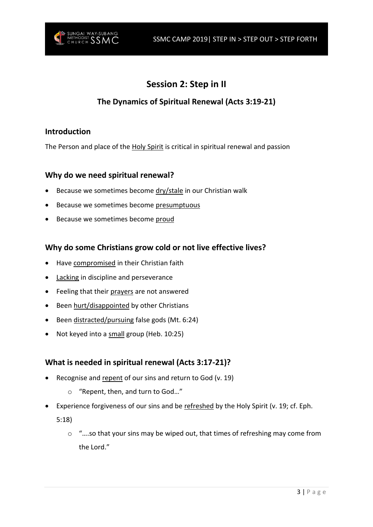

# **Session 2: Step in II**

# **The Dynamics of Spiritual Renewal (Acts 3:19-21)**

#### **Introduction**

The Person and place of the Holy Spirit is critical in spiritual renewal and passion

#### **Why do we need spiritual renewal?**

- Because we sometimes become dry/stale in our Christian walk
- Because we sometimes become presumptuous
- Because we sometimes become proud

#### **Why do some Christians grow cold or not live effective lives?**

- Have compromised in their Christian faith
- Lacking in discipline and perseverance
- Feeling that their prayers are not answered
- Been hurt/disappointed by other Christians
- Been distracted/pursuing false gods (Mt. 6:24)
- Not keyed into a small group (Heb. 10:25)

### **What is needed in spiritual renewal (Acts 3:17-21)?**

- Recognise and repent of our sins and return to God (v. 19)
	- o "Repent, then, and turn to God…"
- Experience forgiveness of our sins and be refreshed by the Holy Spirit (v. 19; cf. Eph.

5:18)

 $\circ$  "...so that your sins may be wiped out, that times of refreshing may come from the Lord."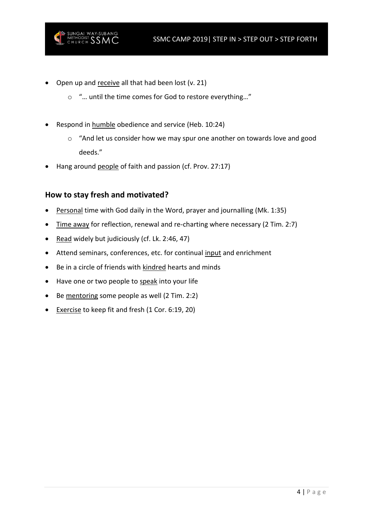

- Open up and receive all that had been lost (v. 21)
	- o "… until the time comes for God to restore everything…"
- Respond in humble obedience and service (Heb. 10:24)
	- o "And let us consider how we may spur one another on towards love and good deeds."
- Hang around people of faith and passion (cf. Prov. 27:17)

#### **How to stay fresh and motivated?**

- Personal time with God daily in the Word, prayer and journalling (Mk. 1:35)
- Time away for reflection, renewal and re-charting where necessary (2 Tim. 2:7)
- Read widely but judiciously (cf. Lk. 2:46, 47)
- Attend seminars, conferences, etc. for continual input and enrichment
- Be in a circle of friends with kindred hearts and minds
- Have one or two people to speak into your life
- Be mentoring some people as well (2 Tim. 2:2)
- Exercise to keep fit and fresh (1 Cor. 6:19, 20)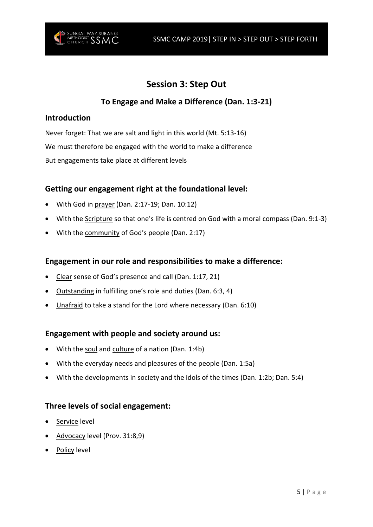

# **Session 3: Step Out**

## **To Engage and Make a Difference (Dan. 1:3-21)**

#### **Introduction**

Never forget: That we are salt and light in this world (Mt. 5:13-16) We must therefore be engaged with the world to make a difference But engagements take place at different levels

#### **Getting our engagement right at the foundational level:**

- With God in prayer (Dan. 2:17-19; Dan. 10:12)
- With the Scripture so that one's life is centred on God with a moral compass (Dan. 9:1-3)
- With the community of God's people (Dan. 2:17)

#### **Engagement in our role and responsibilities to make a difference:**

- Clear sense of God's presence and call (Dan. 1:17, 21)
- Outstanding in fulfilling one's role and duties (Dan. 6:3, 4)
- Unafraid to take a stand for the Lord where necessary (Dan. 6:10)

#### **Engagement with people and society around us:**

- With the soul and culture of a nation (Dan. 1:4b)
- With the everyday needs and pleasures of the people (Dan. 1:5a)
- With the developments in society and the idols of the times (Dan. 1:2b; Dan. 5:4)

#### **Three levels of social engagement:**

- Service level
- Advocacy level (Prov. 31:8,9)
- Policy level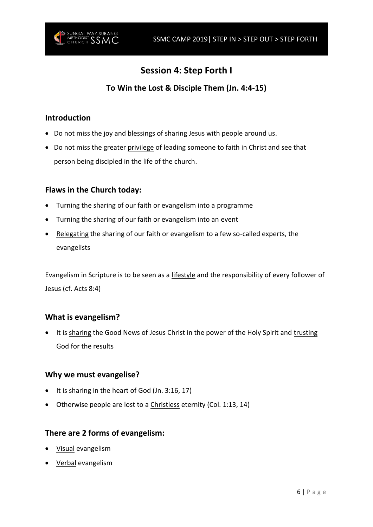

# **Session 4: Step Forth I**

# **To Win the Lost & Disciple Them (Jn. 4:4-15)**

#### **Introduction**

- Do not miss the joy and blessings of sharing Jesus with people around us.
- Do not miss the greater privilege of leading someone to faith in Christ and see that person being discipled in the life of the church.

#### **Flaws in the Church today:**

- Turning the sharing of our faith or evangelism into a programme
- Turning the sharing of our faith or evangelism into an event
- Relegating the sharing of our faith or evangelism to a few so-called experts, the evangelists

Evangelism in Scripture is to be seen as a lifestyle and the responsibility of every follower of Jesus (cf. Acts 8:4)

#### **What is evangelism?**

• It is sharing the Good News of Jesus Christ in the power of the Holy Spirit and trusting God for the results

#### **Why we must evangelise?**

- It is sharing in the heart of God (Jn. 3:16, 17)
- Otherwise people are lost to a Christless eternity (Col. 1:13, 14)

#### **There are 2 forms of evangelism:**

- Visual evangelism
- Verbal evangelism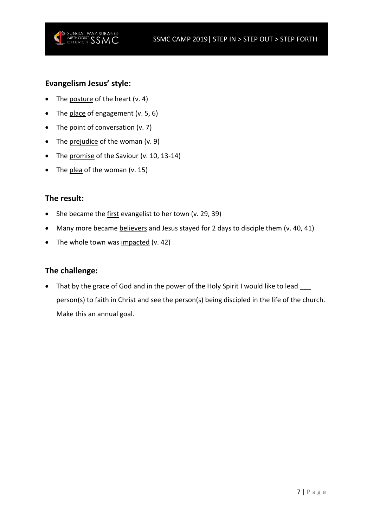



### **Evangelism Jesus' style:**

- The posture of the heart (v. 4)
- The place of engagement  $(v. 5, 6)$
- The point of conversation (v. 7)
- The prejudice of the woman (v. 9)
- The promise of the Saviour (v. 10, 13-14)
- The plea of the woman  $(v. 15)$

#### **The result:**

- She became the first evangelist to her town (v. 29, 39)
- Many more became believers and Jesus stayed for 2 days to disciple them (v. 40, 41)
- The whole town was impacted (v. 42)

#### **The challenge:**

• That by the grace of God and in the power of the Holy Spirit I would like to lead \_\_\_ person(s) to faith in Christ and see the person(s) being discipled in the life of the church. Make this an annual goal.